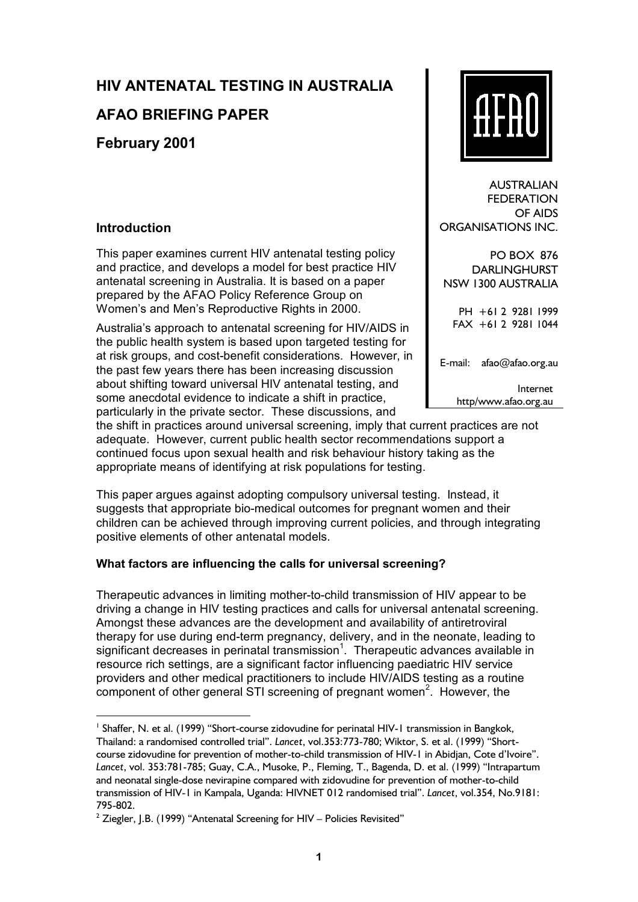# **HIV ANTENATAL TESTING IN AUSTRALIA**

## **AFAO BRIEFING PAPER**

**February 2001** 

## **Introduction**

This paper examines current HIV antenatal testing policy and practice, and develops a model for best practice HIV antenatal screening in Australia. It is based on a paper prepared by the AFAO Policy Reference Group on Women's and Men's Reproductive Rights in 2000.

Australiaís approach to antenatal screening for HIV/AIDS in the public health system is based upon targeted testing for at risk groups, and cost-benefit considerations. However, in the past few years there has been increasing discussion about shifting toward universal HIV antenatal testing, and some anecdotal evidence to indicate a shift in practice, particularly in the private sector. These discussions, and

the shift in practices around universal screening, imply that current practices are not adequate. However, current public health sector recommendations support a continued focus upon sexual health and risk behaviour history taking as the appropriate means of identifying at risk populations for testing.

This paper argues against adopting compulsory universal testing. Instead, it suggests that appropriate bio-medical outcomes for pregnant women and their children can be achieved through improving current policies, and through integrating positive elements of other antenatal models.

## **What factors are influencing the calls for universal screening?**

Therapeutic advances in limiting mother-to-child transmission of HIV appear to be driving a change in HIV testing practices and calls for universal antenatal screening. Amongst these advances are the development and availability of antiretroviral therapy for use during end-term pregnancy, delivery, and in the neonate, leading to significant decreases in perinatal transmission<sup>1</sup>. Therapeutic advances available in resource rich settings, are a significant factor influencing paediatric HIV service providers and other medical practitioners to include HIV/AIDS testing as a routine component of other general STI screening of pregnant women<sup>2</sup>. However, the



AUSTRALIAN **FFDERATION** OF AIDS ORGANISATIONS INC.

PO BOX 876 DARLINGHURST NSW 1300 AUSTRALIA

PH +61 2 9281 1999 FAX +61 2 9281 1044

E-mail: afao@afao.org.au

Internet http/www.afao.org.au

<sup>&</sup>lt;sup>1</sup> Shaffer, N. et al. (1999) "Short-course zidovudine for perinatal HIV-1 transmission in Bangkok, Thailand: a randomised controlled trial". *Lancet*, vol.353:773-780; Wiktor, S. et al. (1999) "Shortcourse zidovudine for prevention of mother-to-child transmission of HIV-1 in Abidjan, Cote d'Ivoire". Lancet, vol. 353:781-785; Guay, C.A., Musoke, P., Fleming, T., Bagenda, D. et al. (1999) "Intrapartum and neonatal single-dose nevirapine compared with zidovudine for prevention of mother-to-child transmission of HIV-1 in Kampala, Uganda: HIVNET 012 randomised trialî. *Lancet*, vol.354, No.9181: 795-802.

 $2$  Ziegler, J.B. (1999) "Antenatal Screening for HIV – Policies Revisited"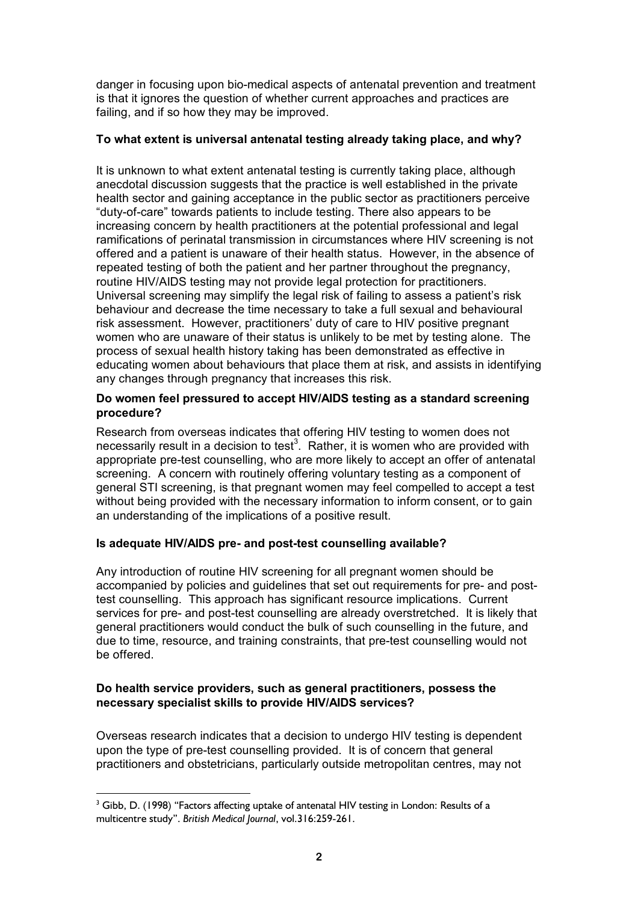danger in focusing upon bio-medical aspects of antenatal prevention and treatment is that it ignores the question of whether current approaches and practices are failing, and if so how they may be improved.

#### **To what extent is universal antenatal testing already taking place, and why?**

It is unknown to what extent antenatal testing is currently taking place, although anecdotal discussion suggests that the practice is well established in the private health sector and gaining acceptance in the public sector as practitioners perceive ìduty-of-careî towards patients to include testing. There also appears to be increasing concern by health practitioners at the potential professional and legal ramifications of perinatal transmission in circumstances where HIV screening is not offered and a patient is unaware of their health status. However, in the absence of repeated testing of both the patient and her partner throughout the pregnancy, routine HIV/AIDS testing may not provide legal protection for practitioners. Universal screening may simplify the legal risk of failing to assess a patientís risk behaviour and decrease the time necessary to take a full sexual and behavioural risk assessment. However, practitionersí duty of care to HIV positive pregnant women who are unaware of their status is unlikely to be met by testing alone. The process of sexual health history taking has been demonstrated as effective in educating women about behaviours that place them at risk, and assists in identifying any changes through pregnancy that increases this risk.

#### **Do women feel pressured to accept HIV/AIDS testing as a standard screening procedure?**

Research from overseas indicates that offering HIV testing to women does not necessarily result in a decision to test<sup>3</sup>. Rather, it is women who are provided with appropriate pre-test counselling, who are more likely to accept an offer of antenatal screening. A concern with routinely offering voluntary testing as a component of general STI screening, is that pregnant women may feel compelled to accept a test without being provided with the necessary information to inform consent, or to gain an understanding of the implications of a positive result.

## **Is adequate HIV/AIDS pre- and post-test counselling available?**

Any introduction of routine HIV screening for all pregnant women should be accompanied by policies and guidelines that set out requirements for pre- and posttest counselling. This approach has significant resource implications. Current services for pre- and post-test counselling are already overstretched. It is likely that general practitioners would conduct the bulk of such counselling in the future, and due to time, resource, and training constraints, that pre-test counselling would not be offered.

#### **Do health service providers, such as general practitioners, possess the necessary specialist skills to provide HIV/AIDS services?**

Overseas research indicates that a decision to undergo HIV testing is dependent upon the type of pre-test counselling provided. It is of concern that general practitioners and obstetricians, particularly outside metropolitan centres, may not

 $3$  Gibb, D. (1998) "Factors affecting uptake of antenatal HIV testing in London: Results of a multicentre studyî. *British Medical Journal*, vol.316:259-261.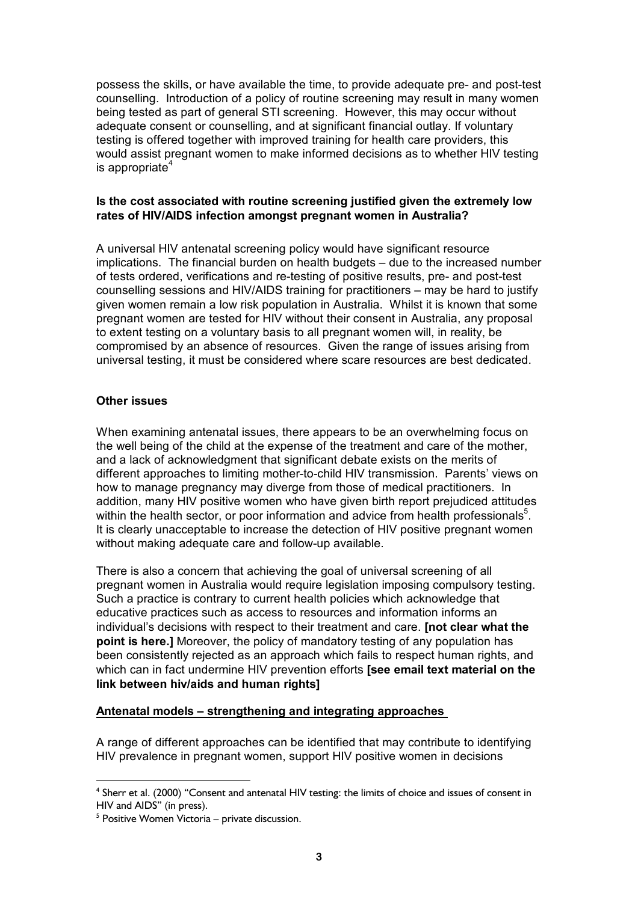possess the skills, or have available the time, to provide adequate pre- and post-test counselling. Introduction of a policy of routine screening may result in many women being tested as part of general STI screening. However, this may occur without adequate consent or counselling, and at significant financial outlay. If voluntary testing is offered together with improved training for health care providers, this would assist pregnant women to make informed decisions as to whether HIV testing is appropriate $4$ 

#### **Is the cost associated with routine screening justified given the extremely low rates of HIV/AIDS infection amongst pregnant women in Australia?**

A universal HIV antenatal screening policy would have significant resource implications. The financial burden on health budgets – due to the increased number of tests ordered, verifications and re-testing of positive results, pre- and post-test counselling sessions and HIV/AIDS training for practitioners – may be hard to justify given women remain a low risk population in Australia. Whilst it is known that some pregnant women are tested for HIV without their consent in Australia, any proposal to extent testing on a voluntary basis to all pregnant women will, in reality, be compromised by an absence of resources. Given the range of issues arising from universal testing, it must be considered where scare resources are best dedicated.

#### **Other issues**

When examining antenatal issues, there appears to be an overwhelming focus on the well being of the child at the expense of the treatment and care of the mother, and a lack of acknowledgment that significant debate exists on the merits of different approaches to limiting mother-to-child HIV transmission. Parents' views on how to manage pregnancy may diverge from those of medical practitioners. In addition, many HIV positive women who have given birth report prejudiced attitudes within the health sector, or poor information and advice from health professionals<sup>5</sup>. It is clearly unacceptable to increase the detection of HIV positive pregnant women without making adequate care and follow-up available.

There is also a concern that achieving the goal of universal screening of all pregnant women in Australia would require legislation imposing compulsory testing. Such a practice is contrary to current health policies which acknowledge that educative practices such as access to resources and information informs an individual's decisions with respect to their treatment and care. **[not clear what the point is here.]** Moreover, the policy of mandatory testing of any population has been consistently rejected as an approach which fails to respect human rights, and which can in fact undermine HIV prevention efforts **[see email text material on the link between hiv/aids and human rights]**

#### Antenatal models – strengthening and integrating approaches

A range of different approaches can be identified that may contribute to identifying HIV prevalence in pregnant women, support HIV positive women in decisions

 $<sup>4</sup>$  Sherr et al. (2000) "Consent and antenatal HIV testing: the limits of choice and issues of consent in</sup> HIV and AIDS" (in press).

 $<sup>5</sup>$  Positive Women Victoria – private discussion.</sup>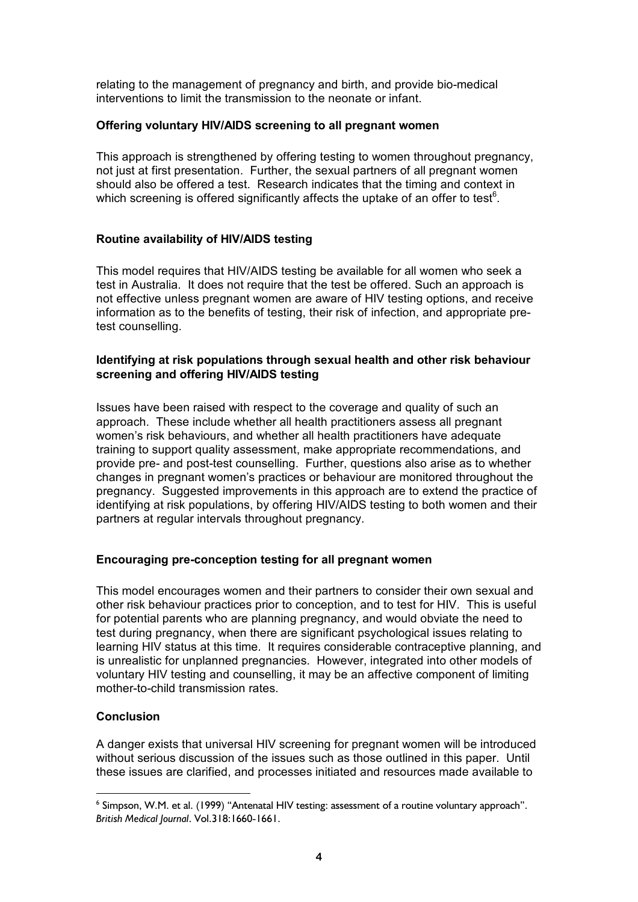relating to the management of pregnancy and birth, and provide bio-medical interventions to limit the transmission to the neonate or infant.

#### **Offering voluntary HIV/AIDS screening to all pregnant women**

This approach is strengthened by offering testing to women throughout pregnancy, not just at first presentation. Further, the sexual partners of all pregnant women should also be offered a test. Research indicates that the timing and context in which screening is offered significantly affects the uptake of an offer to test $6$ .

#### **Routine availability of HIV/AIDS testing**

This model requires that HIV/AIDS testing be available for all women who seek a test in Australia. It does not require that the test be offered. Such an approach is not effective unless pregnant women are aware of HIV testing options, and receive information as to the benefits of testing, their risk of infection, and appropriate pretest counselling.

#### **Identifying at risk populations through sexual health and other risk behaviour screening and offering HIV/AIDS testing**

Issues have been raised with respect to the coverage and quality of such an approach. These include whether all health practitioners assess all pregnant womenís risk behaviours, and whether all health practitioners have adequate training to support quality assessment, make appropriate recommendations, and provide pre- and post-test counselling. Further, questions also arise as to whether changes in pregnant womenís practices or behaviour are monitored throughout the pregnancy. Suggested improvements in this approach are to extend the practice of identifying at risk populations, by offering HIV/AIDS testing to both women and their partners at regular intervals throughout pregnancy.

#### **Encouraging pre-conception testing for all pregnant women**

This model encourages women and their partners to consider their own sexual and other risk behaviour practices prior to conception, and to test for HIV. This is useful for potential parents who are planning pregnancy, and would obviate the need to test during pregnancy, when there are significant psychological issues relating to learning HIV status at this time. It requires considerable contraceptive planning, and is unrealistic for unplanned pregnancies. However, integrated into other models of voluntary HIV testing and counselling, it may be an affective component of limiting mother-to-child transmission rates

#### **Conclusion**

A danger exists that universal HIV screening for pregnant women will be introduced without serious discussion of the issues such as those outlined in this paper. Until these issues are clarified, and processes initiated and resources made available to

 $<sup>6</sup>$  Simpson, W.M. et al. (1999) "Antenatal HIV testing: assessment of a routine voluntary approach".</sup> *British Medical Journal*. Vol.318:1660-1661.